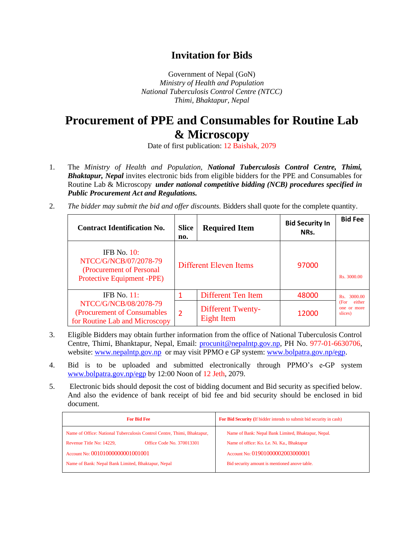## **Invitation for Bids**

Government of Nepal (GoN) *Ministry of Health and Population National Tuberculosis Control Centre (NTCC) Thimi, Bhaktapur, Nepal*

## **Procurement of PPE and Consumables for Routine Lab & Microscopy**

Date of first publication: 12 Baishak, 2079

- 1. The *Ministry of Health and Population, National Tuberculosis Control Centre, Thimi, Bhaktapur, Nepal* invites electronic bids from eligible bidders for the PPE and Consumables for Routine Lab & Microscopy *under national competitive bidding (NCB) procedures specified in Public Procurement Act and Regulations.*
- 2. *The bidder may submit the bid and offer discounts.* Bidders shall quote for the complete quantity.

| <b>Contract Identification No.</b>                                                                | <b>Slice</b><br>no.    | <b>Required Item</b>                   | <b>Bid Security In</b><br>NRs. | <b>Bid Fee</b>                           |
|---------------------------------------------------------------------------------------------------|------------------------|----------------------------------------|--------------------------------|------------------------------------------|
| IFB No. $10$ :<br>NTCC/G/NCB/07/2078-79<br>(Procurement of Personal<br>Protective Equipment -PPE) | Different Eleven Items |                                        | 97000                          | Rs. 3000.00                              |
| IFB No. $11$ :                                                                                    |                        | Different Ten Item                     | 48000                          | 3000.00<br>Rs                            |
| NTCC/G/NCB/08/2078-79<br>(Procurement of Consumables)<br>for Routine Lab and Microscopy           | 2                      | <b>Different Twenty-</b><br>Eight Item | 12000                          | either<br>(For<br>one or more<br>slices) |

- 3. Eligible Bidders may obtain further information from the office of National Tuberculosis Control Centre, Thimi, Bhanktapur, Nepal, Email: [procunit@nepalntp.gov.np,](mailto:procunit@nepalntp.gov.np) PH No. 977-01-6630706, website: [www.nepalntp.gov.np](http://www.nepalntp.gov.np/) or may visit PPMO e GP system: [www.bolpatra.gov.np/egp.](http://www.bolpatra.gov.np/egp)
- 4. Bid is to be uploaded and submitted electronically through PPMO's e-GP system [www.bolpatra.gov.np/egp](http://www.bolpatra.gov.np/egp) by 12:00 Noon of 12 Jeth, 2079.
- 5. Electronic bids should deposit the cost of bidding document and Bid security as specified below. And also the evidence of bank receipt of bid fee and bid security should be enclosed in bid document.

| <b>For Bid Fee</b>                                                                                                               | For Bid Security (If bidder intends to submit bid security in cash)                               |  |
|----------------------------------------------------------------------------------------------------------------------------------|---------------------------------------------------------------------------------------------------|--|
| Name of Office: National Tuberculosis Control Centre, Thimi, Bhaktapur,<br>Office Code No. 370013301<br>Revenue Title No: 14229, | Name of Bank: Nepal Bank Limited, Bhaktapur, Nepal.<br>Name of office: Ko. Le. Ni. Ka., Bhaktapur |  |
| Account No: 00101000000001001001                                                                                                 | Account No: 01901000002003000001                                                                  |  |
| Name of Bank: Nepal Bank Limited, Bhaktapur, Nepal                                                                               | Bid security amount is mentioned anove table.                                                     |  |